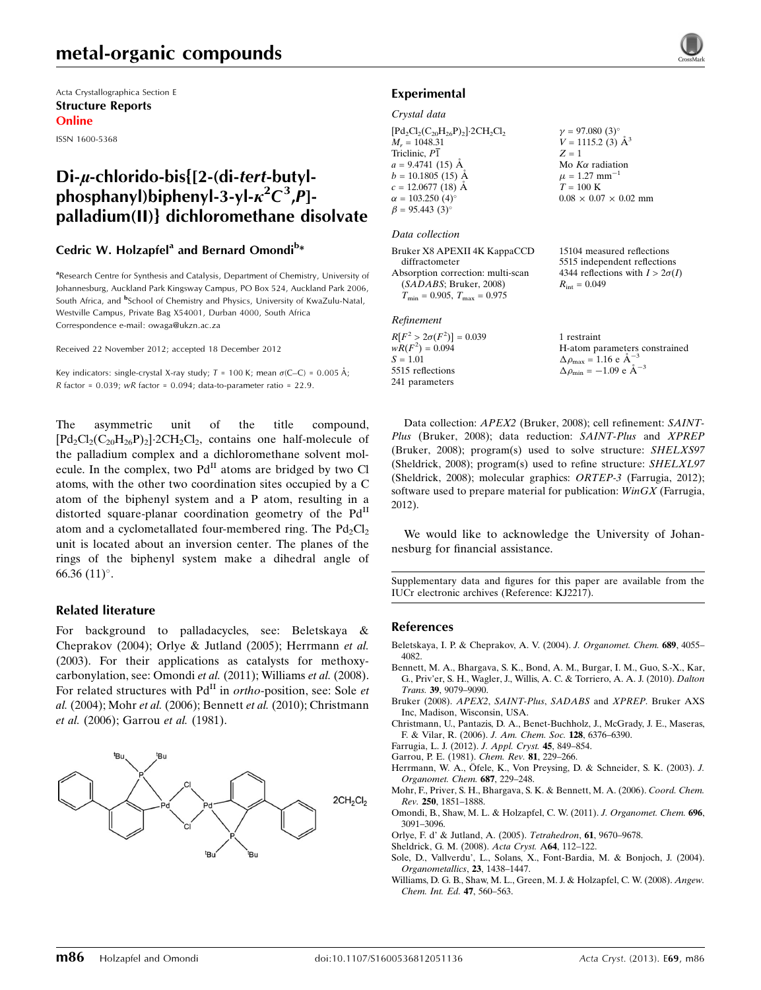## metal-organic compounds

Acta Crystallographica Section E Structure Reports Online

ISSN 1600-5368

### $Di-u$ -chlorido-bis ${2-(di-tert-butv)}$ phosphanyl)biphenyl-3-yl- $\kappa^2 C^3$ , $\hat{P}$ ]palladium(II)} dichloromethane disolvate

### Cedric W. Holzapfel<sup>a</sup> and Bernard Omondi<sup>b\*</sup>

<sup>a</sup>Research Centre for Synthesis and Catalysis, Department of Chemistry, University of Johannesburg, Auckland Park Kingsway Campus, PO Box 524, Auckland Park 2006, South Africa, and <sup>b</sup>School of Chemistry and Physics, University of KwaZulu-Natal, Westville Campus, Private Bag X54001, Durban 4000, South Africa Correspondence e-mail: [owaga@ukzn.ac.za](https://scripts.iucr.org/cgi-bin/cr.cgi?rm=pdfbb&cnor=kj2217&bbid=BB13)

Received 22 November 2012; accepted 18 December 2012

Key indicators: single-crystal X-ray study;  $T = 100$  K; mean  $\sigma$ (C–C) = 0.005 Å;  $R$  factor = 0.039; wR factor = 0.094; data-to-parameter ratio = 22.9.

The asymmetric unit of the title compound,  $[\text{Pd}_2\text{Cl}_2(\text{C}_{20}\text{H}_{26}\text{P})_2]$ -2CH<sub>2</sub>Cl<sub>2</sub>, contains one half-molecule of the palladium complex and a dichloromethane solvent molecule. In the complex, two  $Pd<sup>H</sup>$  atoms are bridged by two Cl atoms, with the other two coordination sites occupied by a C atom of the biphenyl system and a P atom, resulting in a distorted square-planar coordination geometry of the  $Pd<sup>H</sup>$ atom and a cyclometallated four-membered ring. The  $Pd_2Cl_2$ unit is located about an inversion center. The planes of the rings of the biphenyl system make a dihedral angle of 66.36 $(11)$ °.

### Related literature

For background to palladacycles, see: Beletskaya & Cheprakov (2004); Orlye & Jutland (2005); Herrmann et al. (2003). For their applications as catalysts for methoxycarbonylation, see: Omondi et al. (2011); Williams et al. (2008). For related structures with  $Pd<sup>H</sup>$  in *ortho-position*, see: Sole *et* al. (2004); Mohr et al. (2006); Bennett et al. (2010); Christmann et al. (2006); Garrou et al. (1981).



### Experimental

### Crystal data

 $[{\rm Pd_2Cl_2(C_{20}H_{26}P)_2}]\cdot 2CH_2Cl_2$  $M_r = 1048.31$ Triclinic, P1  $a = 9.4741(15)$  Å  $b = 10.1805(15)$  Å  $c = 12.0677(18)$  Å  $\alpha = 103.250$  (4)<sup>o</sup>  $\beta = 95.443 \ (3)^{\circ}$  $v = 97.080$  (3)<sup>o</sup>  $V = 1115.2$  (3)  $\AA^3$  $Z = 1$ Mo  $K\alpha$  radiation  $\mu = 1.27$  mm<sup>-1</sup>  $T=100~\mathrm{K}$  $0.08 \times 0.07 \times 0.02$  mm

#### Data collection

| Bruker X8 APEXII 4K KappaCCD                     | 15104 measured reflections             |
|--------------------------------------------------|----------------------------------------|
| diffractometer                                   | 5515 independent reflections           |
| Absorption correction: multi-scan                | 4344 reflections with $I > 2\sigma(I)$ |
| (SADABS; Bruker, 2008)                           | $R_{\rm int} = 0.049$                  |
| $T_{\text{min}} = 0.905, T_{\text{max}} = 0.975$ |                                        |
| Refinement                                       |                                        |

 $R[F^2 > 2\sigma(F^2)] = 0.039$ <br>  $wR(F^2) = 0.094$  $S = 1.01$ 5515 reflections 241 parameters

1 restraint H-atom parameters constrained  $\Delta \rho_{\text{max}} = 1.16 \text{ e A}^{-3}$  $\Delta \rho_{\rm min} = -1.09 \text{ e A}^{-3}$ 

Data collection: APEX2 (Bruker, 2008); cell refinement: SAINT-Plus (Bruker, 2008); data reduction: SAINT-Plus and XPREP (Bruker, 2008); program(s) used to solve structure: SHELXS97 (Sheldrick, 2008); program(s) used to refine structure: SHELXL97 (Sheldrick, 2008); molecular graphics: ORTEP-3 (Farrugia, 2012); software used to prepare material for publication:  $WinGX$  (Farrugia, 2012).

We would like to acknowledge the University of Johannesburg for financial assistance.

Supplementary data and figures for this paper are available from the IUCr electronic archives (Reference: KJ2217).

### References

- [Beletskaya, I. P. & Cheprakov, A. V. \(2004\).](https://scripts.iucr.org/cgi-bin/cr.cgi?rm=pdfbb&cnor=kj2217&bbid=BB1) J. Organomet. Chem. 689, 4055– [4082.](https://scripts.iucr.org/cgi-bin/cr.cgi?rm=pdfbb&cnor=kj2217&bbid=BB1)
- [Bennett, M. A., Bhargava, S. K., Bond, A. M., Burgar, I. M., Guo, S.-X., Kar,](https://scripts.iucr.org/cgi-bin/cr.cgi?rm=pdfbb&cnor=kj2217&bbid=BB2) [G., Priv'er, S. H., Wagler, J., Willis, A. C. & Torriero, A. A. J. \(2010\).](https://scripts.iucr.org/cgi-bin/cr.cgi?rm=pdfbb&cnor=kj2217&bbid=BB2) Dalton Trans. 39[, 9079–9090.](https://scripts.iucr.org/cgi-bin/cr.cgi?rm=pdfbb&cnor=kj2217&bbid=BB2)
- [Bruker \(2008\).](https://scripts.iucr.org/cgi-bin/cr.cgi?rm=pdfbb&cnor=kj2217&bbid=BB3) APEX2, SAINT-Plus, SADABS and XPREP. Bruker AXS [Inc, Madison, Wisconsin, USA.](https://scripts.iucr.org/cgi-bin/cr.cgi?rm=pdfbb&cnor=kj2217&bbid=BB3)
- [Christmann, U., Pantazis, D. A., Benet-Buchholz, J., McGrady, J. E., Maseras,](https://scripts.iucr.org/cgi-bin/cr.cgi?rm=pdfbb&cnor=kj2217&bbid=BB4) [F. & Vilar, R. \(2006\).](https://scripts.iucr.org/cgi-bin/cr.cgi?rm=pdfbb&cnor=kj2217&bbid=BB4) J. Am. Chem. Soc. 128, 6376–6390.
- [Farrugia, L. J. \(2012\).](https://scripts.iucr.org/cgi-bin/cr.cgi?rm=pdfbb&cnor=kj2217&bbid=BB5) J. Appl. Cryst. 45, 849–854.
- [Garrou, P. E. \(1981\).](https://scripts.iucr.org/cgi-bin/cr.cgi?rm=pdfbb&cnor=kj2217&bbid=BB6) Chem. Rev. 81, 229–266.
- Herrmann, W. A., Ö[fele, K., Von Preysing, D. & Schneider, S. K. \(2003\).](https://scripts.iucr.org/cgi-bin/cr.cgi?rm=pdfbb&cnor=kj2217&bbid=BB7) J. [Organomet. Chem.](https://scripts.iucr.org/cgi-bin/cr.cgi?rm=pdfbb&cnor=kj2217&bbid=BB7) 687, 229–248.
- [Mohr, F., Priver, S. H., Bhargava, S. K. & Bennett, M. A. \(2006\).](https://scripts.iucr.org/cgi-bin/cr.cgi?rm=pdfbb&cnor=kj2217&bbid=BB8) Coord. Chem. Rev. 250[, 1851–1888.](https://scripts.iucr.org/cgi-bin/cr.cgi?rm=pdfbb&cnor=kj2217&bbid=BB8)
- [Omondi, B., Shaw, M. L. & Holzapfel, C. W. \(2011\).](https://scripts.iucr.org/cgi-bin/cr.cgi?rm=pdfbb&cnor=kj2217&bbid=BB9) J. Organomet. Chem. 696, [3091–3096.](https://scripts.iucr.org/cgi-bin/cr.cgi?rm=pdfbb&cnor=kj2217&bbid=BB9)
- [Orlye, F. d' & Jutland, A. \(2005\).](https://scripts.iucr.org/cgi-bin/cr.cgi?rm=pdfbb&cnor=kj2217&bbid=BB10) Tetrahedron, 61, 9670–9678.
- [Sheldrick, G. M. \(2008\).](https://scripts.iucr.org/cgi-bin/cr.cgi?rm=pdfbb&cnor=kj2217&bbid=BB11) Acta Cryst. A64, 112–122.
- [Sole, D., Vallverdu', L., Solans, X., Font-Bardia, M. & Bonjoch, J. \(2004\).](https://scripts.iucr.org/cgi-bin/cr.cgi?rm=pdfbb&cnor=kj2217&bbid=BB12) [Organometallics](https://scripts.iucr.org/cgi-bin/cr.cgi?rm=pdfbb&cnor=kj2217&bbid=BB12), 23, 1438–1447.
- [Williams, D. G. B., Shaw, M. L., Green, M. J. & Holzapfel, C. W. \(2008\).](https://scripts.iucr.org/cgi-bin/cr.cgi?rm=pdfbb&cnor=kj2217&bbid=BB13) Angew. [Chem. Int. Ed.](https://scripts.iucr.org/cgi-bin/cr.cgi?rm=pdfbb&cnor=kj2217&bbid=BB13) 47, 560–563.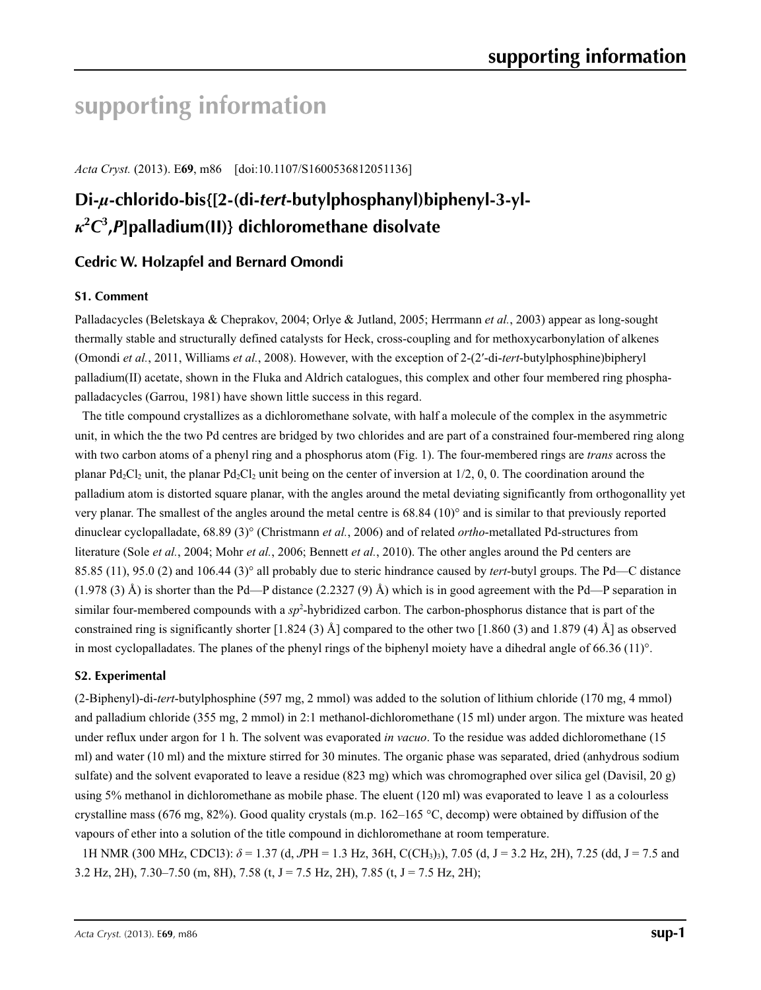# **supporting information**

*Acta Cryst.* (2013). E**69**, m86 [doi:10.1107/S1600536812051136]

## **Di-***µ***-chlorido-bis{[2-(di-***tert***-butylphosphanyl)biphenyl-3-yl***κ***2** *C***3 ,***P***]palladium(II)} dichloromethane disolvate**

### **Cedric W. Holzapfel and Bernard Omondi**

### **S1. Comment**

Palladacycles (Beletskaya & Cheprakov, 2004; Orlye & Jutland, 2005; Herrmann *et al.*, 2003) appear as long-sought thermally stable and structurally defined catalysts for Heck, cross-coupling and for methoxycarbonylation of alkenes (Omondi *et al.*, 2011, Williams *et al.*, 2008). However, with the exception of 2-(2′-di-*tert*-butylphosphine)bipheryl palladium(II) acetate, shown in the Fluka and Aldrich catalogues, this complex and other four membered ring phosphapalladacycles (Garrou, 1981) have shown little success in this regard.

The title compound crystallizes as a dichloromethane solvate, with half a molecule of the complex in the asymmetric unit, in which the the two Pd centres are bridged by two chlorides and are part of a constrained four-membered ring along with two carbon atoms of a phenyl ring and a phosphorus atom (Fig. 1). The four-membered rings are *trans* across the planar Pd<sub>2</sub>Cl<sub>2</sub> unit, the planar Pd<sub>2</sub>Cl<sub>2</sub> unit being on the center of inversion at  $1/2$ , 0, 0. The coordination around the palladium atom is distorted square planar, with the angles around the metal deviating significantly from orthogonallity yet very planar. The smallest of the angles around the metal centre is 68.84 (10)° and is similar to that previously reported dinuclear cyclopalladate, 68.89 (3)° (Christmann *et al.*, 2006) and of related *ortho*-metallated Pd-structures from literature (Sole *et al.*, 2004; Mohr *et al.*, 2006; Bennett *et al.*, 2010). The other angles around the Pd centers are 85.85 (11), 95.0 (2) and 106.44 (3)° all probably due to steric hindrance caused by *tert*-butyl groups. The Pd—C distance  $(1.978 \text{ (3) Å})$  is shorter than the Pd—P distance  $(2.2327 \text{ (9) Å})$  which is in good agreement with the Pd—P separation in similar four-membered compounds with a sp<sup>2</sup>-hybridized carbon. The carbon-phosphorus distance that is part of the constrained ring is significantly shorter  $[1.824 (3)$  Å] compared to the other two  $[1.860 (3)$  and  $1.879 (4)$  Å] as observed in most cyclopalladates. The planes of the phenyl rings of the biphenyl moiety have a dihedral angle of 66.36 (11)°.

### **S2. Experimental**

(2-Biphenyl)-di-*tert*-butylphosphine (597 mg, 2 mmol) was added to the solution of lithium chloride (170 mg, 4 mmol) and palladium chloride (355 mg, 2 mmol) in 2:1 methanol-dichloromethane (15 ml) under argon. The mixture was heated under reflux under argon for 1 h. The solvent was evaporated *in vacuo*. To the residue was added dichloromethane (15 ml) and water (10 ml) and the mixture stirred for 30 minutes. The organic phase was separated, dried (anhydrous sodium sulfate) and the solvent evaporated to leave a residue (823 mg) which was chromographed over silica gel (Davisil, 20 g) using 5% methanol in dichloromethane as mobile phase. The eluent (120 ml) was evaporated to leave 1 as a colourless crystalline mass (676 mg, 82%). Good quality crystals (m.p. 162–165 °C, decomp) were obtained by diffusion of the vapours of ether into a solution of the title compound in dichloromethane at room temperature.

1H NMR (300 MHz, CDCl3): *δ* = 1.37 (d, *J*PH = 1.3 Hz, 36H, C(CH3)3), 7.05 (d, J = 3.2 Hz, 2H), 7.25 (dd, J = 7.5 and 3.2 Hz, 2H), 7.30–7.50 (m, 8H), 7.58 (t, J = 7.5 Hz, 2H), 7.85 (t, J = 7.5 Hz, 2H);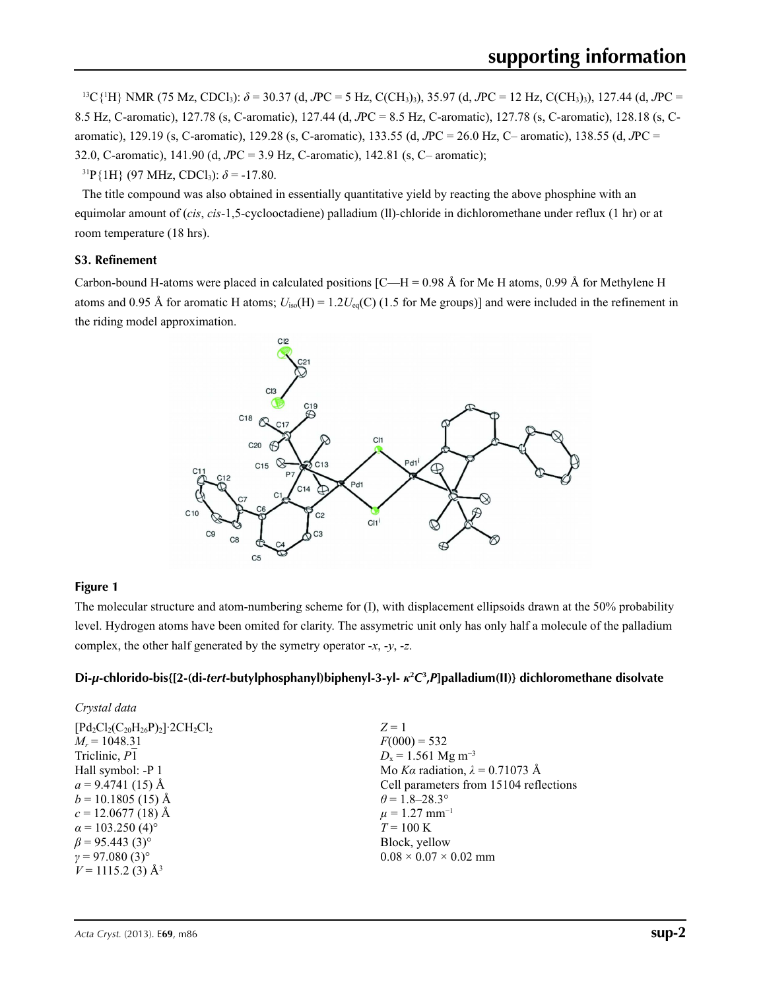13C{1 H} NMR (75 Mz, CDCl3): *δ* = 30.37 (d, *J*PC = 5 Hz, C(CH3)3), 35.97 (d, *J*PC = 12 Hz, C(CH3)3), 127.44 (d, *J*PC = 8.5 Hz, C-aromatic), 127.78 (s, C-aromatic), 127.44 (d, *J*PC = 8.5 Hz, C-aromatic), 127.78 (s, C-aromatic), 128.18 (s, Caromatic), 129.19 (s, C-aromatic), 129.28 (s, C-aromatic), 133.55 (d, *J*PC = 26.0 Hz, C– aromatic), 138.55 (d, *J*PC = 32.0, C-aromatic), 141.90 (d, *J*PC = 3.9 Hz, C-aromatic), 142.81 (s, C– aromatic);

 $31P\{1H\}$  (97 MHz, CDCl<sub>3</sub>):  $\delta$  = -17.80.

The title compound was also obtained in essentially quantitative yield by reacting the above phosphine with an equimolar amount of (*cis*, *cis*-1,5-cyclooctadiene) palladium (ll)-chloride in dichloromethane under reflux (1 hr) or at room temperature (18 hrs).

### **S3. Refinement**

Carbon-bound H-atoms were placed in calculated positions  $[C-H = 0.98 \text{ Å}$  for Me H atoms, 0.99 Å for Methylene H atoms and 0.95 Å for aromatic H atoms;  $U_{iso}(H) = 1.2U_{eq}(C)$  (1.5 for Me groups)] and were included in the refinement in the riding model approximation.



### **Figure 1**

The molecular structure and atom-numbering scheme for (I), with displacement ellipsoids drawn at the 50% probability level. Hydrogen atoms have been omited for clarity. The assymetric unit only has only half a molecule of the palladium complex, the other half generated by the symetry operator -*x*, -*y*, -*z*.

### **Di-***µ***-chlorido-bis{[2-(di-***tert***-butylphosphanyl)biphenyl-3-yl-** *κ***<sup>2</sup>** *C***3 ,***P***]palladium(II)} dichloromethane disolvate**

| Crystal data                                                   |                                        |
|----------------------------------------------------------------|----------------------------------------|
| $[Pd_2Cl_2(C_{20}H_{26}P)_2]$ 2CH <sub>2</sub> Cl <sub>2</sub> | $Z=1$                                  |
| $M_r = 1048.31$                                                | $F(000) = 532$                         |
| Triclinic, P1                                                  | $D_x = 1.561$ Mg m <sup>-3</sup>       |
| Hall symbol: -P 1                                              | Mo Ka radiation, $\lambda = 0.71073$ Å |
| $a = 9.4741(15)$ Å                                             | Cell parameters from 15104 reflections |
| $b = 10.1805(15)$ Å                                            | $\theta$ = 1.8–28.3°                   |
| $c = 12.0677(18)$ Å                                            | $\mu$ = 1.27 mm <sup>-1</sup>          |
| $\alpha$ = 103.250 (4) <sup>o</sup>                            | $T = 100 \text{ K}$                    |
| $\beta$ = 95.443 (3) <sup>o</sup>                              | Block, yellow                          |
| $\gamma = 97.080(3)$ °                                         | $0.08 \times 0.07 \times 0.02$ mm      |
| $V = 1115.2$ (3) Å <sup>3</sup>                                |                                        |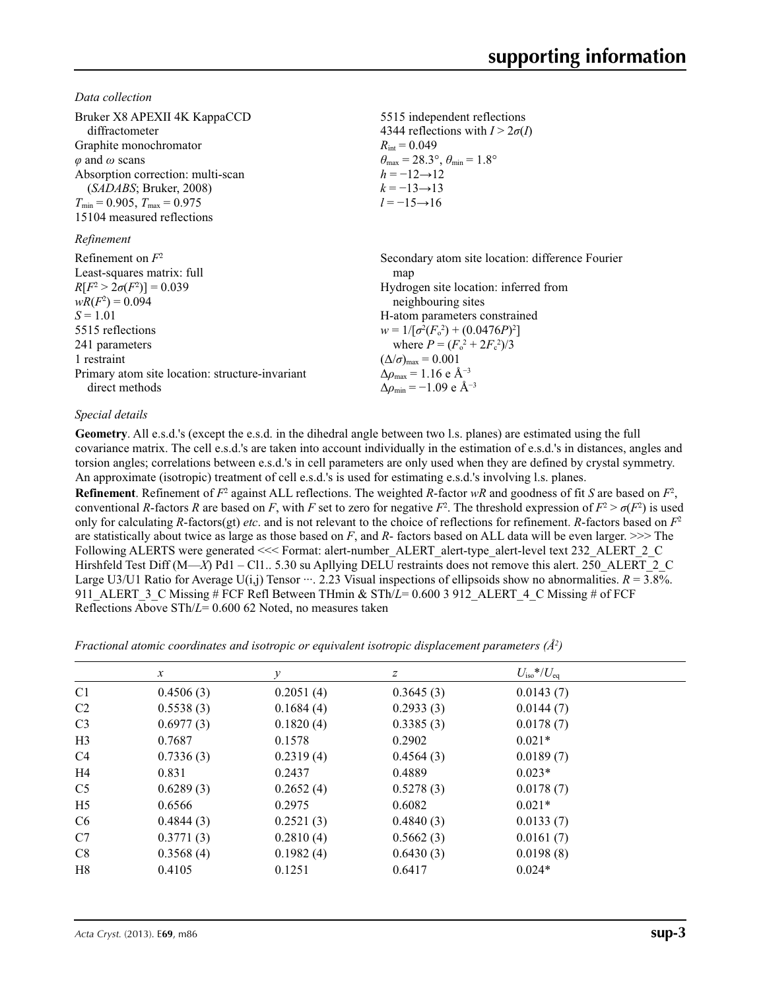*Data collection*

| Bruker X8 APEXII 4K KappaCCD<br>diffractometer<br>Graphite monochromator<br>$\varphi$ and $\omega$ scans<br>Absorption correction: multi-scan<br>(SADABS; Bruker, 2008)<br>$T_{\min} = 0.905$ , $T_{\max} = 0.975$<br>15104 measured reflections<br>Refinement | 5515 independent reflections<br>4344 reflections with $I > 2\sigma(I)$<br>$R_{\rm int} = 0.049$<br>$\theta_{\text{max}} = 28.3^{\circ}, \theta_{\text{min}} = 1.8^{\circ}$<br>$h = -12 \rightarrow 12$<br>$k = -13 \rightarrow 13$<br>$l = -15 \rightarrow 16$ |
|----------------------------------------------------------------------------------------------------------------------------------------------------------------------------------------------------------------------------------------------------------------|----------------------------------------------------------------------------------------------------------------------------------------------------------------------------------------------------------------------------------------------------------------|
| Refinement on $F^2$                                                                                                                                                                                                                                            | Secondary atom site location: difference Fourier                                                                                                                                                                                                               |
| Least-squares matrix: full                                                                                                                                                                                                                                     | map                                                                                                                                                                                                                                                            |
| $R[F^2 > 2\sigma(F^2)] = 0.039$                                                                                                                                                                                                                                | Hydrogen site location: inferred from                                                                                                                                                                                                                          |
| $wR(F^2) = 0.094$                                                                                                                                                                                                                                              | neighbouring sites                                                                                                                                                                                                                                             |
| $S = 1.01$                                                                                                                                                                                                                                                     | H-atom parameters constrained                                                                                                                                                                                                                                  |
| 5515 reflections                                                                                                                                                                                                                                               | $w = 1/[\sigma^2(F_0^2) + (0.0476P)^2]$                                                                                                                                                                                                                        |
| 241 parameters                                                                                                                                                                                                                                                 | where $P = (F_0^2 + 2F_c^2)/3$                                                                                                                                                                                                                                 |
| 1 restraint                                                                                                                                                                                                                                                    | $(\Delta/\sigma)_{\text{max}} = 0.001$                                                                                                                                                                                                                         |
| Primary atom site location: structure-invariant                                                                                                                                                                                                                | $\Delta\rho_{\text{max}} = 1.16 \text{ e A}^{-3}$                                                                                                                                                                                                              |
| direct methods                                                                                                                                                                                                                                                 | $\Delta \rho_{\rm min} = -1.09$ e Å <sup>-3</sup>                                                                                                                                                                                                              |

### *Special details*

**Geometry**. All e.s.d.'s (except the e.s.d. in the dihedral angle between two l.s. planes) are estimated using the full covariance matrix. The cell e.s.d.'s are taken into account individually in the estimation of e.s.d.'s in distances, angles and torsion angles; correlations between e.s.d.'s in cell parameters are only used when they are defined by crystal symmetry. An approximate (isotropic) treatment of cell e.s.d.'s is used for estimating e.s.d.'s involving l.s. planes.

**Refinement**. Refinement of  $F^2$  against ALL reflections. The weighted *R*-factor  $wR$  and goodness of fit *S* are based on  $F^2$ , conventional *R*-factors *R* are based on *F*, with *F* set to zero for negative *F*<sup>2</sup>. The threshold expression of  $F^2 > \sigma(F^2)$  is used only for calculating *R*-factors(gt) *etc*. and is not relevant to the choice of reflections for refinement. *R*-factors based on *F*<sup>2</sup> are statistically about twice as large as those based on *F*, and *R*- factors based on ALL data will be even larger. >>> The Following ALERTS were generated <<< Format: alert-number ALERT alert-type alert-level text 232 ALERT 2 C Hirshfeld Test Diff (M—*X*) Pd1 – Cl1.. 5.30 su Apllying DELU restraints does not remove this alert. 250 ALERT 2 C Large U3/U1 Ratio for Average U(i,j) Tensor  $\cdots$ . 2.23 Visual inspections of ellipsoids show no abnormalities.  $R = 3.8\%$ . 911 ALERT 3 C Missing # FCF Refl Between THmin & STh/*L*= 0.600 3 912 ALERT 4 C Missing # of FCF Reflections Above STh/*L*= 0.600 62 Noted, no measures taken

*Fractional atomic coordinates and isotropic or equivalent isotropic displacement parameters (Å<sup>2</sup>)* 

|                | $\boldsymbol{x}$ | y         | $\boldsymbol{z}$ | $U_{\rm iso}*/U_{\rm eq}$ |  |
|----------------|------------------|-----------|------------------|---------------------------|--|
| C <sub>1</sub> | 0.4506(3)        | 0.2051(4) | 0.3645(3)        | 0.0143(7)                 |  |
| C <sub>2</sub> | 0.5538(3)        | 0.1684(4) | 0.2933(3)        | 0.0144(7)                 |  |
| C <sub>3</sub> | 0.6977(3)        | 0.1820(4) | 0.3385(3)        | 0.0178(7)                 |  |
| H <sub>3</sub> | 0.7687           | 0.1578    | 0.2902           | $0.021*$                  |  |
| C <sub>4</sub> | 0.7336(3)        | 0.2319(4) | 0.4564(3)        | 0.0189(7)                 |  |
| H4             | 0.831            | 0.2437    | 0.4889           | $0.023*$                  |  |
| C <sub>5</sub> | 0.6289(3)        | 0.2652(4) | 0.5278(3)        | 0.0178(7)                 |  |
| H <sub>5</sub> | 0.6566           | 0.2975    | 0.6082           | $0.021*$                  |  |
| C <sub>6</sub> | 0.4844(3)        | 0.2521(3) | 0.4840(3)        | 0.0133(7)                 |  |
| C7             | 0.3771(3)        | 0.2810(4) | 0.5662(3)        | 0.0161(7)                 |  |
| C8             | 0.3568(4)        | 0.1982(4) | 0.6430(3)        | 0.0198(8)                 |  |
| H <sub>8</sub> | 0.4105           | 0.1251    | 0.6417           | $0.024*$                  |  |
|                |                  |           |                  |                           |  |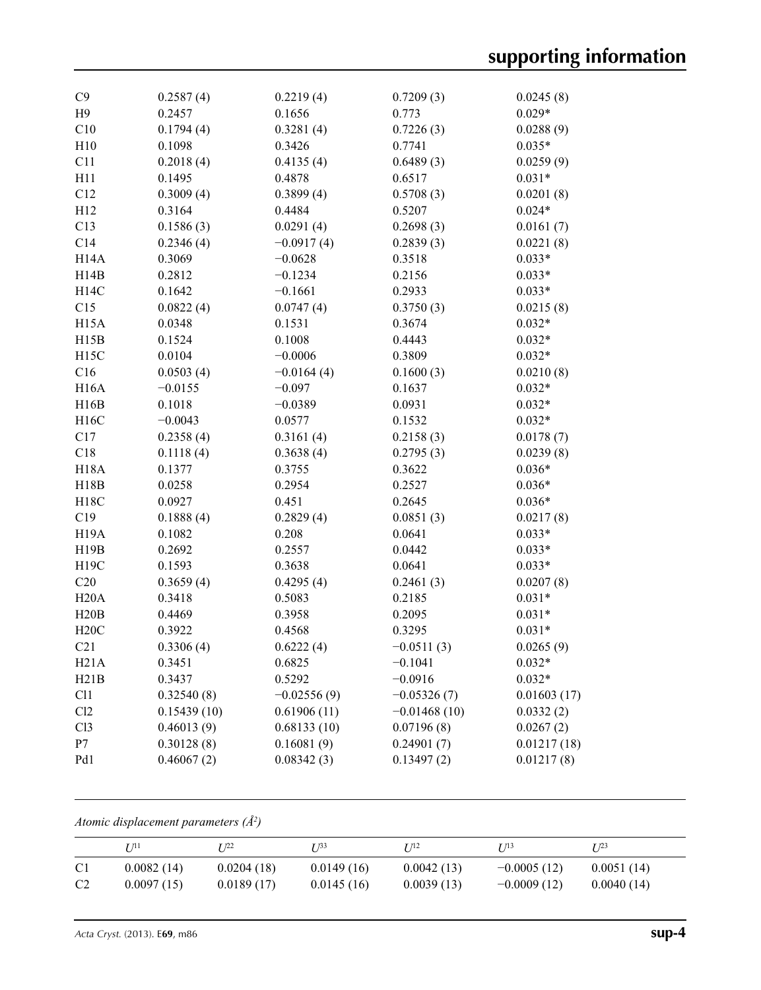| C9                |                     |                     |                    |                       |
|-------------------|---------------------|---------------------|--------------------|-----------------------|
| H9                | 0.2587(4)<br>0.2457 | 0.2219(4)<br>0.1656 | 0.7209(3)<br>0.773 | 0.0245(8)<br>$0.029*$ |
| C10               | 0.1794(4)           | 0.3281(4)           | 0.7226(3)          | 0.0288(9)             |
| H10               | 0.1098              | 0.3426              | 0.7741             | $0.035*$              |
| C11               | 0.2018(4)           | 0.4135(4)           | 0.6489(3)          | 0.0259(9)             |
| H11               | 0.1495              | 0.4878              | 0.6517             | $0.031*$              |
|                   |                     |                     |                    |                       |
| C12               | 0.3009(4)           | 0.3899(4)           | 0.5708(3)          | 0.0201(8)             |
| H12               | 0.3164              | 0.4484              | 0.5207             | $0.024*$              |
| C13               | 0.1586(3)           | 0.0291(4)           | 0.2698(3)          | 0.0161(7)             |
| C14               | 0.2346(4)           | $-0.0917(4)$        | 0.2839(3)          | 0.0221(8)             |
| H <sub>14</sub> A | 0.3069              | $-0.0628$           | 0.3518             | $0.033*$              |
| H14B              | 0.2812              | $-0.1234$           | 0.2156             | $0.033*$              |
| H14C              | 0.1642              | $-0.1661$           | 0.2933             | $0.033*$              |
| C15               | 0.0822(4)           | 0.0747(4)           | 0.3750(3)          | 0.0215(8)             |
| H15A              | 0.0348              | 0.1531              | 0.3674             | $0.032*$              |
| H15B              | 0.1524              | 0.1008              | 0.4443             | $0.032*$              |
| H <sub>15</sub> C | 0.0104              | $-0.0006$           | 0.3809             | $0.032*$              |
| C16               | 0.0503(4)           | $-0.0164(4)$        | 0.1600(3)          | 0.0210(8)             |
| H16A              | $-0.0155$           | $-0.097$            | 0.1637             | $0.032*$              |
| H16B              | 0.1018              | $-0.0389$           | 0.0931             | $0.032*$              |
| H16C              | $-0.0043$           | 0.0577              | 0.1532             | $0.032*$              |
| C17               | 0.2358(4)           | 0.3161(4)           | 0.2158(3)          | 0.0178(7)             |
| C18               | 0.1118(4)           | 0.3638(4)           | 0.2795(3)          | 0.0239(8)             |
| <b>H18A</b>       | 0.1377              | 0.3755              | 0.3622             | $0.036*$              |
| H18B              | 0.0258              | 0.2954              | 0.2527             | $0.036*$              |
| H18C              | 0.0927              | 0.451               | 0.2645             | $0.036*$              |
| C19               | 0.1888(4)           | 0.2829(4)           | 0.0851(3)          | 0.0217(8)             |
| H <sub>19</sub> A | 0.1082              | 0.208               | 0.0641             | $0.033*$              |
| H19B              | 0.2692              | 0.2557              | 0.0442             | $0.033*$              |
| H19C              | 0.1593              | 0.3638              | 0.0641             | $0.033*$              |
| C20               | 0.3659(4)           | 0.4295(4)           | 0.2461(3)          | 0.0207(8)             |
| H20A              | 0.3418              | 0.5083              | 0.2185             | $0.031*$              |
| H20B              | 0.4469              | 0.3958              | 0.2095             | $0.031*$              |
| H20C              | 0.3922              | 0.4568              | 0.3295             | $0.031*$              |
| C21               | 0.3306(4)           | 0.6222(4)           | $-0.0511(3)$       | 0.0265(9)             |
| H21A              | 0.3451              | 0.6825              | $-0.1041$          | $0.032*$              |
| H21B              | 0.3437              | 0.5292              | $-0.0916$          | $0.032*$              |
| C11               | 0.32540(8)          | $-0.02556(9)$       | $-0.05326(7)$      | 0.01603(17)           |
| Cl2               | 0.15439(10)         | 0.61906(11)         | $-0.01468(10)$     | 0.0332(2)             |
| C13               |                     |                     | 0.07196(8)         |                       |
|                   | 0.46013(9)          | 0.68133(10)         |                    | 0.0267(2)             |
| P7                | 0.30128(8)          | 0.16081(9)          | 0.24901(7)         | 0.01217(18)           |
| Pd1               | 0.46067(2)          | 0.08342(3)          | 0.13497(2)         | 0.01217(8)            |

*Atomic displacement parameters (Å2 )*

|                | I/11       | T 122      | T 133      | I 112      | T 713         | T 123      |
|----------------|------------|------------|------------|------------|---------------|------------|
| C <sub>1</sub> | 0.0082(14) | 0.0204(18) | 0.0149(16) | 0.0042(13) | $-0.0005(12)$ | 0.0051(14) |
| C <sub>2</sub> | 0.0097(15) | 0.0189(17) | 0.0145(16) | 0.0039(13) | $-0.0009(12)$ | 0.0040(14) |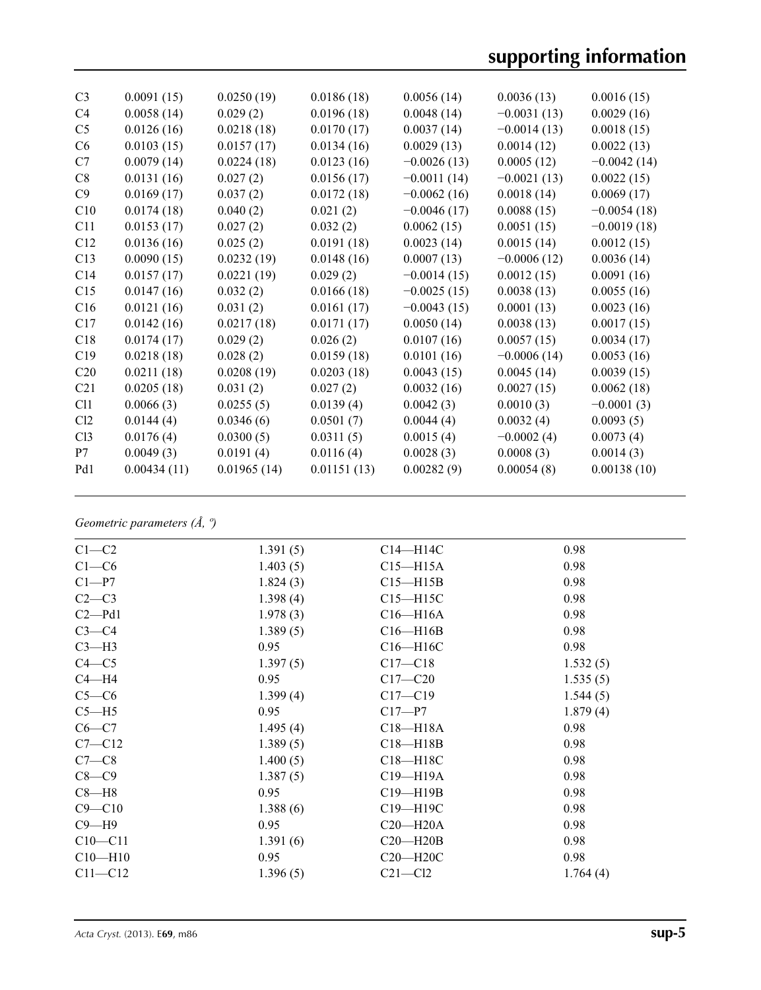# **supporting information**

| C <sub>3</sub>  | 0.0091(15)  | 0.0250(19)  | 0.0186(18)  | 0.0056(14)    | 0.0036(13)    | 0.0016(15)    |
|-----------------|-------------|-------------|-------------|---------------|---------------|---------------|
| C <sub>4</sub>  | 0.0058(14)  | 0.029(2)    | 0.0196(18)  | 0.0048(14)    | $-0.0031(13)$ | 0.0029(16)    |
| C <sub>5</sub>  | 0.0126(16)  | 0.0218(18)  | 0.0170(17)  | 0.0037(14)    | $-0.0014(13)$ | 0.0018(15)    |
| C6              | 0.0103(15)  | 0.0157(17)  | 0.0134(16)  | 0.0029(13)    | 0.0014(12)    | 0.0022(13)    |
| C7              | 0.0079(14)  | 0.0224(18)  | 0.0123(16)  | $-0.0026(13)$ | 0.0005(12)    | $-0.0042(14)$ |
| C8              | 0.0131(16)  | 0.027(2)    | 0.0156(17)  | $-0.0011(14)$ | $-0.0021(13)$ | 0.0022(15)    |
| C9              | 0.0169(17)  | 0.037(2)    | 0.0172(18)  | $-0.0062(16)$ | 0.0018(14)    | 0.0069(17)    |
| C10             | 0.0174(18)  | 0.040(2)    | 0.021(2)    | $-0.0046(17)$ | 0.0088(15)    | $-0.0054(18)$ |
| C11             | 0.0153(17)  | 0.027(2)    | 0.032(2)    | 0.0062(15)    | 0.0051(15)    | $-0.0019(18)$ |
| C12             | 0.0136(16)  | 0.025(2)    | 0.0191(18)  | 0.0023(14)    | 0.0015(14)    | 0.0012(15)    |
| C13             | 0.0090(15)  | 0.0232(19)  | 0.0148(16)  | 0.0007(13)    | $-0.0006(12)$ | 0.0036(14)    |
| C14             | 0.0157(17)  | 0.0221(19)  | 0.029(2)    | $-0.0014(15)$ | 0.0012(15)    | 0.0091(16)    |
| C15             | 0.0147(16)  | 0.032(2)    | 0.0166(18)  | $-0.0025(15)$ | 0.0038(13)    | 0.0055(16)    |
| C16             | 0.0121(16)  | 0.031(2)    | 0.0161(17)  | $-0.0043(15)$ | 0.0001(13)    | 0.0023(16)    |
| C17             | 0.0142(16)  | 0.0217(18)  | 0.0171(17)  | 0.0050(14)    | 0.0038(13)    | 0.0017(15)    |
| C18             | 0.0174(17)  | 0.029(2)    | 0.026(2)    | 0.0107(16)    | 0.0057(15)    | 0.0034(17)    |
| C19             | 0.0218(18)  | 0.028(2)    | 0.0159(18)  | 0.0101(16)    | $-0.0006(14)$ | 0.0053(16)    |
| C20             | 0.0211(18)  | 0.0208(19)  | 0.0203(18)  | 0.0043(15)    | 0.0045(14)    | 0.0039(15)    |
| C <sub>21</sub> | 0.0205(18)  | 0.031(2)    | 0.027(2)    | 0.0032(16)    | 0.0027(15)    | 0.0062(18)    |
| C11             | 0.0066(3)   | 0.0255(5)   | 0.0139(4)   | 0.0042(3)     | 0.0010(3)     | $-0.0001(3)$  |
| Cl2             | 0.0144(4)   | 0.0346(6)   | 0.0501(7)   | 0.0044(4)     | 0.0032(4)     | 0.0093(5)     |
| C13             | 0.0176(4)   | 0.0300(5)   | 0.0311(5)   | 0.0015(4)     | $-0.0002(4)$  | 0.0073(4)     |
| P7              | 0.0049(3)   | 0.0191(4)   | 0.0116(4)   | 0.0028(3)     | 0.0008(3)     | 0.0014(3)     |
| Pd1             | 0.00434(11) | 0.01965(14) | 0.01151(13) | 0.00282(9)    | 0.00054(8)    | 0.00138(10)   |
|                 |             |             |             |               |               |               |

*Geometric parameters (Å, º)*

| $C1-C2$     | 1.391(5) | $C14 - H14C$ | 0.98     |
|-------------|----------|--------------|----------|
| $C1-C6$     | 1.403(5) | $C15 - H15A$ | 0.98     |
| $C1-P7$     | 1.824(3) | $C15 - H15B$ | 0.98     |
| $C2-C3$     | 1.398(4) | $C15 - H15C$ | 0.98     |
| $C2 - Pd1$  | 1.978(3) | $C16 - H16A$ | 0.98     |
| $C3-C4$     | 1.389(5) | $C16 - H16B$ | 0.98     |
| $C3-H3$     | 0.95     | $C16 - H16C$ | 0.98     |
| $C4 - C5$   | 1.397(5) | $C17 - C18$  | 1.532(5) |
| $C4 - H4$   | 0.95     | $C17 - C20$  | 1.535(5) |
| $C5-C6$     | 1.399(4) | $C17 - C19$  | 1.544(5) |
| $C5 - H5$   | 0.95     | $C17 - P7$   | 1.879(4) |
| $C6-C7$     | 1.495(4) | $C18 - H18A$ | 0.98     |
| $C7 - C12$  | 1.389(5) | $C18 - H18B$ | 0.98     |
| $C7-C8$     | 1.400(5) | C18-H18C     | 0.98     |
| $C8-C9$     | 1.387(5) | $C19 - H19A$ | 0.98     |
| $C8 - H8$   | 0.95     | $C19 - H19B$ | 0.98     |
| $C9 - C10$  | 1.388(6) | C19-H19C     | 0.98     |
| $C9 - H9$   | 0.95     | $C20 - H20A$ | 0.98     |
| $C10 - C11$ | 1.391(6) | $C20 - H20B$ | 0.98     |
| $C10 - H10$ | 0.95     | $C20 - H20C$ | 0.98     |
| $C11 - C12$ | 1.396(5) | $C21 - C12$  | 1.764(4) |
|             |          |              |          |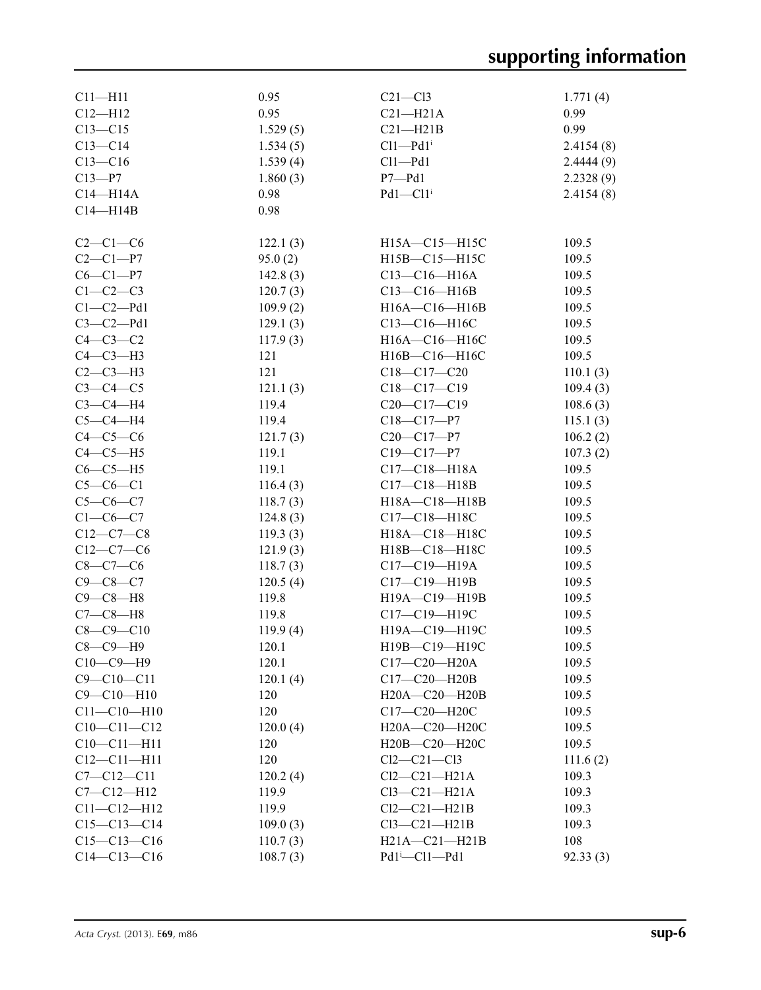| $C11-H11$         | 0.95     | $C21 - C13$               | 1.771(4)  |
|-------------------|----------|---------------------------|-----------|
| $C12 - H12$       | 0.95     | $C21 - H21A$              | 0.99      |
| $C13 - C15$       | 1.529(5) | $C21 - H21B$              | 0.99      |
| $C13 - C14$       | 1.534(5) | $Cl1$ -Pd $1^i$           | 2.4154(8) |
| $C13 - C16$       | 1.539(4) | $Cl1 - Pd1$               | 2.4444(9) |
| $C13 - P7$        | 1.860(3) | $P7 - Pd1$                | 2.2328(9) |
| $C14 - H14A$      | 0.98     | $Pd1 - Cl1i$              | 2.4154(8) |
| $C14 - H14B$      | 0.98     |                           |           |
|                   |          |                           |           |
| $C2-C1-C6$        | 122.1(3) | H15A-C15-H15C             | 109.5     |
| $C2 - C1 - P7$    | 95.0(2)  | H15B-C15-H15C             | 109.5     |
| $C6 - C1 - P7$    | 142.8(3) | $C13 - C16 - H16A$        | 109.5     |
| $C1-C2-C3$        | 120.7(3) | $C13-C16-H16B$            | 109.5     |
| $C1-C2-Pd1$       | 109.9(2) | H16A-C16-H16B             | 109.5     |
| $C3-C2-Pd1$       | 129.1(3) | $C13 - C16 - H16C$        | 109.5     |
| $C4-C3-C2$        | 117.9(3) | H16A-C16-H16C             | 109.5     |
| $C4-C3-H3$        | 121      | H16B-C16-H16C             | 109.5     |
| $C2-C3-H3$        | 121      | $C18 - C17 - C20$         | 110.1(3)  |
| $C3-C4-C5$        | 121.1(3) | $C18 - C17 - C19$         | 109.4(3)  |
| $C3-C4-H4$        | 119.4    | $C20-C17-C19$             | 108.6(3)  |
| $C5-C4-H4$        | 119.4    | $C18 - C17 - P7$          | 115.1(3)  |
| $C4-C5-C6$        | 121.7(3) | $C20-C17-P7$              | 106.2(2)  |
| $C4-C5-H5$        | 119.1    | $C19 - C17 - P7$          | 107.3(2)  |
| $C6-C5-H5$        | 119.1    | $C17 - C18 - H18A$        | 109.5     |
| $C5-C6-C1$        | 116.4(3) | $C17 - C18 - H18B$        | 109.5     |
| $C5-C6-C7$        | 118.7(3) | H18A-C18-H18B             | 109.5     |
| $C1-C6-C7$        | 124.8(3) | C17-C18-H18C              | 109.5     |
| $C12-C7-C8$       | 119.3(3) | H18A-C18-H18C             | 109.5     |
| $C12-C7-C6$       | 121.9(3) | H18B-C18-H18C             | 109.5     |
| $C8 - C7 - C6$    | 118.7(3) | $C17-C19-H19A$            | 109.5     |
| $C9 - C8 - C7$    | 120.5(4) | $C17 - C19 - H19B$        | 109.5     |
| $C9 - C8 - H8$    | 119.8    | H19A-C19-H19B             | 109.5     |
| $C7-C8-H8$        | 119.8    | C17-C19-H19C              | 109.5     |
| $C8 - C9 - C10$   | 119.9(4) | H19A-C19-H19C             | 109.5     |
| $C8 - C9 - H9$    | 120.1    | H19B-C19-H19C             | 109.5     |
| $C10-C9-H9$       | 120.1    | $C17 - C20 - H20A$        | 109.5     |
| $C9 - C10 - C11$  | 120.1(4) | C17-C20-H20B              | 109.5     |
| $C9 - C10 - H10$  | 120      | H20A-C20-H20B             | 109.5     |
| $C11 - C10 - H10$ | 120      | C17-C20-H20C              | 109.5     |
| $C10-C11-C12$     | 120.0(4) | H20A-C20-H20C             | 109.5     |
| $C10 - C11 - H11$ | 120      | H20B-C20-H20C             | 109.5     |
| $C12 - C11 - H11$ | 120      | $Cl2-C21-C13$             | 111.6(2)  |
| $C7 - C12 - C11$  | 120.2(4) | $Cl2-C21-H21A$            | 109.3     |
| $C7 - C12 - H12$  | 119.9    | $Cl3-C21-H21A$            | 109.3     |
| $C11 - C12 - H12$ | 119.9    | $Cl2-C21-H21B$            | 109.3     |
| $C15-C13-C14$     | 109.0(3) | $Cl3-C21-H21B$            | 109.3     |
| $C15-C13-C16$     | 110.7(3) | $H21A - C21 - H21B$       | 108       |
| $C14 - C13 - C16$ | 108.7(3) | Pd1 <sup>i</sup> -Cl1-Pd1 | 92.33(3)  |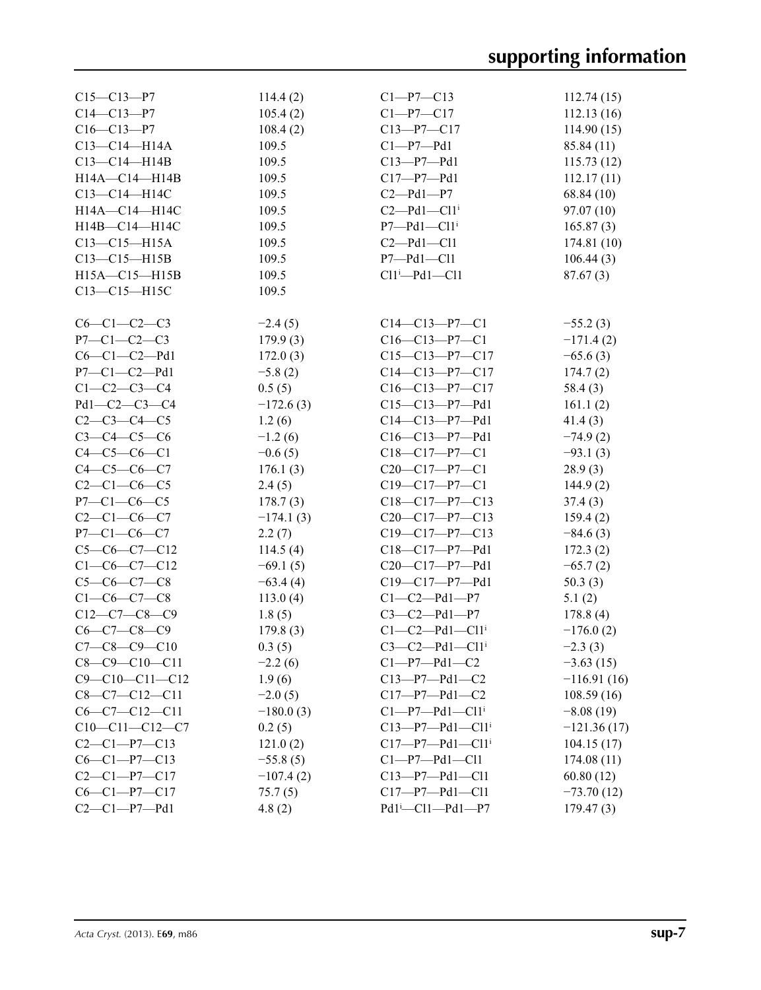| $C15 - C13 - P7$       | 114.4(2)    | $C1-P7-C13$                           | 112.74(15)    |
|------------------------|-------------|---------------------------------------|---------------|
| $C14 - C13 - P7$       | 105.4(2)    | $C1 - P7 - C17$                       | 112.13(16)    |
| $C16 - C13 - P7$       | 108.4(2)    | $C13 - P7 - C17$                      | 114.90(15)    |
| $C13 - C14 - H14A$     | 109.5       | $C1-P7-Pd1$                           | 85.84 (11)    |
| $C13-C14-H14B$         | 109.5       | $C13-P7-Pd1$                          | 115.73(12)    |
| $H14A - C14 - H14B$    | 109.5       | $C17-P7-Pd1$                          | 112.17(11)    |
| C13-C14-H14C           | 109.5       | $C2-Pd1-P7$                           | 68.84 (10)    |
| H14A-C14-H14C          | 109.5       | $C2-Pd1-C11$ <sup>i</sup>             | 97.07(10)     |
| H14B-C14-H14C          | 109.5       | $P7 - Pd1 - C11$ <sup>i</sup>         | 165.87(3)     |
| $C13-C15-H15A$         | 109.5       | $C2-Pd1-C11$                          | 174.81(10)    |
| $C13-C15-H15B$         | 109.5       | $P7 - Pd1 - C11$                      | 106.44(3)     |
| $H15A - C15 - H15B$    | 109.5       | $Cl1^i$ -Pd1- $Cl1$                   | 87.67(3)      |
| C13-C15-H15C           | 109.5       |                                       |               |
|                        |             |                                       |               |
| $C6-C1-C2-C3$          | $-2.4(5)$   | $C14-C13-P7-C1$                       | $-55.2(3)$    |
| $P7 - C1 - C2 - C3$    | 179.9(3)    | $C16-C13-P7-C1$                       | $-171.4(2)$   |
| $C6-C1-C2-Pd1$         | 172.0(3)    | $C15-C13-P7-C17$                      | $-65.6(3)$    |
| $P7 - C1 - C2 - Pd1$   | $-5.8(2)$   | $C14 - C13 - P7 - C17$                | 174.7(2)      |
| $C1 - C2 - C3 - C4$    | 0.5(5)      | $C16-C13-P7-C17$                      | 58.4(3)       |
| $Pd1-C2-C3-C4$         | $-172.6(3)$ | $C15-C13-P7-Pd1$                      | 161.1(2)      |
| $C2-C3-C4-C5$          | 1.2(6)      | $C14 - C13 - P7 - Pd1$                | 41.4(3)       |
| $C3 - C4 - C5 - C6$    | $-1.2(6)$   | $C16-C13-P7-Pd1$                      | $-74.9(2)$    |
| $C4 - C5 - C6 - C1$    | $-0.6(5)$   | $C18-C17-P7-C1$                       | $-93.1(3)$    |
| $C4 - C5 - C6 - C7$    | 176.1(3)    | $C20-C17-P7-C1$                       | 28.9(3)       |
| $C2 - C1 - C6 - C5$    | 2.4(5)      | $C19 - C17 - P7 - C1$                 | 144.9(2)      |
| $P7 - C1 - C6 - C5$    | 178.7(3)    | $C18-C17-P7-C13$                      | 37.4(3)       |
| $C2 - C1 - C6 - C7$    | $-174.1(3)$ | $C20-C17-P7-C13$                      | 159.4(2)      |
| $P7 - C1 - C6 - C7$    | 2.2(7)      | $C19-C17-P7-C13$                      | $-84.6(3)$    |
| $C5-C6-C7-C12$         | 114.5(4)    | C18-C17-P7-Pd1                        | 172.3(2)      |
| $C1-C6-C7-C12$         | $-69.1(5)$  | $C20-C17-P7-Pd1$                      | $-65.7(2)$    |
| $C5-C6-C7-C8$          | $-63.4(4)$  | $C19-C17-P7-Pd1$                      | 50.3(3)       |
| $C1 - C6 - C7 - C8$    | 113.0(4)    | $C1 - C2 - Pd1 - P7$                  | 5.1(2)        |
| $C12-C7-C8-C9$         | 1.8(5)      | $C3 - C2 - Pd1 - P7$                  | 178.8(4)      |
| $C6 - C7 - C8 - C9$    |             | $C1-C2-Pd1-C11$ <sup>i</sup>          | $-176.0(2)$   |
| $C7-C8-C9-C10$         | 179.8(3)    | $C3-C2-Pd1-C11$ <sup>i</sup>          | $-2.3(3)$     |
|                        | 0.3(5)      |                                       |               |
| $C8-C9-C10-C11$        | $-2.2(6)$   | $C1-P7-Pd1-C2$                        | $-3.63(15)$   |
| $C9 - C10 - C11 - C12$ | 1.9(6)      | $C13-P7-Pd1-C2$                       | $-116.91(16)$ |
| $C8-C7-C12-C11$        | $-2.0(5)$   | $C17-P7-Pd1-C2$                       | 108.59(16)    |
| $C6-C7-C12-C11$        | $-180.0(3)$ | $Cl-P7-Pd1-Cl1i$                      | $-8.08(19)$   |
| $C10-C11-C12-C7$       | 0.2(5)      | $C13-P7-Pd1-C11$ <sup>i</sup>         | $-121.36(17)$ |
| $C2 - C1 - P7 - C13$   | 121.0(2)    | $C17-P7-Pd1-C11$ <sup>i</sup>         | 104.15(17)    |
| $C6-C1-P7-C13$         | $-55.8(5)$  | $Cl-P7-Pd1-Cl1$                       | 174.08(11)    |
| $C2-C1-P7-C17$         | $-107.4(2)$ | $C13-P7-Pd1-C11$                      | 60.80(12)     |
| $C6-C1-P7-C17$         | 75.7(5)     | $C17-P7-Pd1-C11$                      | $-73.70(12)$  |
| $C2-C1-P7-Pd1$         | 4.8(2)      | $Pd1$ <sup>i</sup> -Cl1- $Pd1$ - $P7$ | 179.47(3)     |